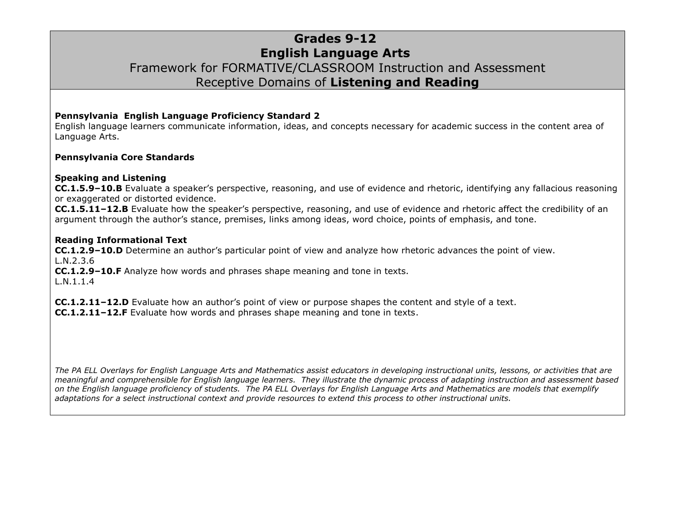## **Grades 9-12 English Language Arts** Framework for FORMATIVE/CLASSROOM Instruction and Assessment Receptive Domains of **Listening and Reading**

#### **Pennsylvania English Language Proficiency Standard 2**

English language learners communicate information, ideas, and concepts necessary for academic success in the content area of Language Arts.

#### **Pennsylvania Core Standards**

#### **Speaking and Listening**

**CC.1.5.9–10.B** Evaluate a speaker's perspective, reasoning, and use of evidence and rhetoric, identifying any fallacious reasoning or exaggerated or distorted evidence.

**CC.1.5.11–12.B** Evaluate how the speaker's perspective, reasoning, and use of evidence and rhetoric affect the credibility of an argument through the author's stance, premises, links among ideas, word choice, points of emphasis, and tone.

#### **Reading Informational Text**

**CC.1.2.9–10.D** Determine an author's particular point of view and analyze how rhetoric advances the point of view. L.N.2.3.6

**CC.1.2.9–10.F** Analyze how words and phrases shape meaning and tone in texts. L.N.1.1.4

**CC.1.2.11–12.D** Evaluate how an author's point of view or purpose shapes the content and style of a text. **CC.1.2.11–12.F** Evaluate how words and phrases shape meaning and tone in texts.

*The PA ELL Overlays for English Language Arts and Mathematics assist educators in developing instructional units, lessons, or activities that are meaningful and comprehensible for English language learners. They illustrate the dynamic process of adapting instruction and assessment based on the English language proficiency of students. The PA ELL Overlays for English Language Arts and Mathematics are models that exemplify adaptations for a select instructional context and provide resources to extend this process to other instructional units.*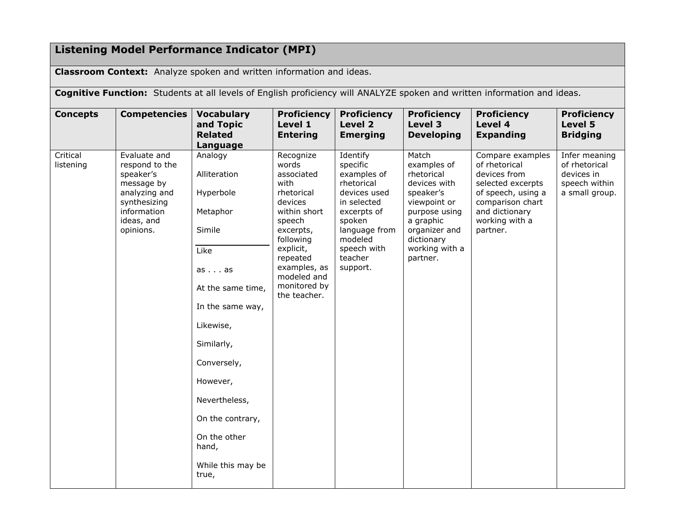# **Listening Model Performance Indicator (MPI)**

**Classroom Context:** Analyze spoken and written information and ideas.

**Cognitive Function:** Students at all levels of English proficiency will ANALYZE spoken and written information and ideas.

| <b>Concepts</b>       | <b>Competencies</b>                                                                                                                  | <b>Vocabulary</b><br>and Topic<br><b>Related</b><br>Language                                                                                                                                                                                                          | <b>Proficiency</b><br>Level 1<br><b>Entering</b>                                                                                                                                                              | <b>Proficiency</b><br>Level 2<br><b>Emerging</b>                                                                                                                            | <b>Proficiency</b><br>Level 3<br><b>Developing</b>                                                                                                                         | <b>Proficiency</b><br>Level 4<br><b>Expanding</b>                                                                                                                | <b>Proficiency</b><br>Level 5<br><b>Bridging</b>                                |
|-----------------------|--------------------------------------------------------------------------------------------------------------------------------------|-----------------------------------------------------------------------------------------------------------------------------------------------------------------------------------------------------------------------------------------------------------------------|---------------------------------------------------------------------------------------------------------------------------------------------------------------------------------------------------------------|-----------------------------------------------------------------------------------------------------------------------------------------------------------------------------|----------------------------------------------------------------------------------------------------------------------------------------------------------------------------|------------------------------------------------------------------------------------------------------------------------------------------------------------------|---------------------------------------------------------------------------------|
| Critical<br>listening | Evaluate and<br>respond to the<br>speaker's<br>message by<br>analyzing and<br>synthesizing<br>information<br>ideas, and<br>opinions. | Analogy<br>Alliteration<br>Hyperbole<br>Metaphor<br>Simile<br>Like<br>asas<br>At the same time,<br>In the same way,<br>Likewise,<br>Similarly,<br>Conversely,<br>However,<br>Nevertheless,<br>On the contrary,<br>On the other<br>hand,<br>While this may be<br>true, | Recognize<br>words<br>associated<br>with<br>rhetorical<br>devices<br>within short<br>speech<br>excerpts,<br>following<br>explicit,<br>repeated<br>examples, as<br>modeled and<br>monitored by<br>the teacher. | Identify<br>specific<br>examples of<br>rhetorical<br>devices used<br>in selected<br>excerpts of<br>spoken<br>language from<br>modeled<br>speech with<br>teacher<br>support. | Match<br>examples of<br>rhetorical<br>devices with<br>speaker's<br>viewpoint or<br>purpose using<br>a graphic<br>organizer and<br>dictionary<br>working with a<br>partner. | Compare examples<br>of rhetorical<br>devices from<br>selected excerpts<br>of speech, using a<br>comparison chart<br>and dictionary<br>working with a<br>partner. | Infer meaning<br>of rhetorical<br>devices in<br>speech within<br>a small group. |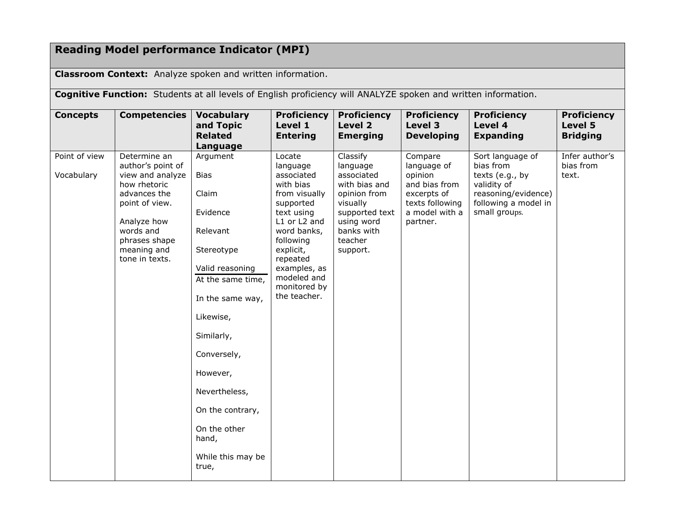## **Reading Model performance Indicator (MPI)**

**Classroom Context:** Analyze spoken and written information.

**Cognitive Function:** Students at all levels of English proficiency will ANALYZE spoken and written information. **Concepts Competencies Vocabulary and Topic Related Language Proficiency Level 1 Entering Proficiency Level 2 Emerging Proficiency Level 3 Developing Proficiency Level 4 Expanding Proficiency Level 5 Bridging**  Point of view Vocabulary Determine an author's point of view and analyze how rhetoric advances the point of view. Analyze how words and phrases shape meaning and Argument Bias Claim Evidence Relevant Stereotype Locate language associated with bias from visually supported text using L1 or L2 and word banks, following explicit, Classify language associated with bias and opinion from visually supported text using word banks with teacher support. Compare language of opinion and bias from excerpts of texts following a model with a partner. Sort language of bias from texts (e.g., by validity of reasoning/evidence) following a model in small groups. Infer author's bias from text.

| Vocabulary | author's point of<br>view and analyze<br>how rhetoric<br>advances the<br>point of view.<br>Analyze how<br>words and<br>phrases shape<br>meaning and<br>tone in texts. | <b>Bias</b><br>Claim<br>Evidence<br>Relevant<br>Stereotype<br>Valid reasoning<br>At the same time,<br>In the same way,<br>Likewise,<br>Similarly,<br>Conversely,<br>However,<br>Nevertheless,<br>On the contrary,<br>On the other<br>hand, | language<br>associated<br>with bias<br>from visually<br>supported<br>text using<br>L1 or L2 and<br>word banks,<br>following<br>explicit,<br>repeated<br>examples, as<br>modeled and<br>monitored by<br>the teacher. | language<br>associated<br>with bias and<br>opinion from<br>visually<br>supported text<br>using word<br>banks with<br>teacher<br>support. | language of<br>opinion<br>and bias from<br>excerpts of<br>texts following<br>a model with a<br>partner. | bias from<br>texts (e.g., by<br>validity of<br>reasoning/evidence)<br>following a model in<br>small groups. | bias from<br>text. |
|------------|-----------------------------------------------------------------------------------------------------------------------------------------------------------------------|--------------------------------------------------------------------------------------------------------------------------------------------------------------------------------------------------------------------------------------------|---------------------------------------------------------------------------------------------------------------------------------------------------------------------------------------------------------------------|------------------------------------------------------------------------------------------------------------------------------------------|---------------------------------------------------------------------------------------------------------|-------------------------------------------------------------------------------------------------------------|--------------------|
|            |                                                                                                                                                                       | While this may be<br>true,                                                                                                                                                                                                                 |                                                                                                                                                                                                                     |                                                                                                                                          |                                                                                                         |                                                                                                             |                    |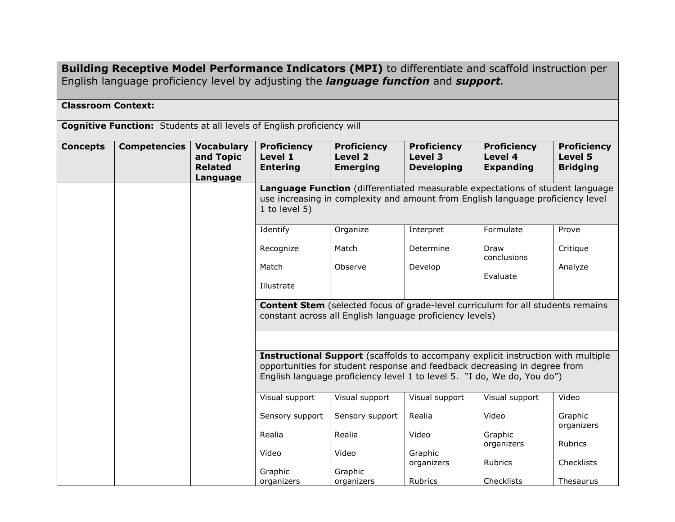**Building Receptive Model Performance Indicators (MPI)** to differentiate and scaffold instruction per English language proficiency level by adjusting the *language function* and *support.*

### **Classroom Context:**

**Cognitive Function:** Students at all levels of English proficiency will

| <b>Concepts</b> | <b>Competencies</b> | <b>Vocabulary</b><br>and Topic<br><b>Related</b><br>Language | <b>Proficiency</b><br>Level 1<br><b>Entering</b>                                                                                                                                                                                         | <b>Proficiency</b><br>Level 2<br><b>Emerging</b> | <b>Proficiency</b><br>Level 3<br><b>Developing</b> | <b>Proficiency</b><br>Level 4<br><b>Expanding</b> | <b>Proficiency</b><br>Level 5<br><b>Bridging</b> |  |  |  |
|-----------------|---------------------|--------------------------------------------------------------|------------------------------------------------------------------------------------------------------------------------------------------------------------------------------------------------------------------------------------------|--------------------------------------------------|----------------------------------------------------|---------------------------------------------------|--------------------------------------------------|--|--|--|
|                 |                     |                                                              | <b>Language Function</b> (differentiated measurable expectations of student language<br>use increasing in complexity and amount from English language proficiency level<br>1 to level $5$ )                                              |                                                  |                                                    |                                                   |                                                  |  |  |  |
|                 |                     |                                                              | Identify                                                                                                                                                                                                                                 | Organize                                         | Interpret                                          | Formulate                                         | Prove                                            |  |  |  |
|                 |                     |                                                              | Recognize                                                                                                                                                                                                                                | Match                                            | Determine                                          | Draw<br>conclusions                               | Critique                                         |  |  |  |
|                 |                     |                                                              | Match<br>Illustrate                                                                                                                                                                                                                      | Observe                                          | Develop                                            | Evaluate                                          | Analyze                                          |  |  |  |
|                 |                     |                                                              | <b>Content Stem</b> (selected focus of grade-level curriculum for all students remains<br>constant across all English language proficiency levels)                                                                                       |                                                  |                                                    |                                                   |                                                  |  |  |  |
|                 |                     |                                                              |                                                                                                                                                                                                                                          |                                                  |                                                    |                                                   |                                                  |  |  |  |
|                 |                     |                                                              | Instructional Support (scaffolds to accompany explicit instruction with multiple<br>opportunities for student response and feedback decreasing in degree from<br>English language proficiency level 1 to level 5. "I do, We do, You do") |                                                  |                                                    |                                                   |                                                  |  |  |  |
|                 |                     |                                                              | Visual support                                                                                                                                                                                                                           | Visual support                                   | Visual support                                     | Visual support                                    | Video                                            |  |  |  |
|                 |                     |                                                              | Sensory support                                                                                                                                                                                                                          | Sensory support                                  | Realia                                             | Video                                             | Graphic<br>organizers                            |  |  |  |
|                 |                     |                                                              | Realia                                                                                                                                                                                                                                   | Realia                                           | Video                                              | Graphic<br>organizers                             | Rubrics                                          |  |  |  |
|                 |                     |                                                              | Video                                                                                                                                                                                                                                    | Video                                            | Graphic<br>organizers                              | Rubrics                                           | Checklists                                       |  |  |  |
|                 |                     |                                                              | Graphic                                                                                                                                                                                                                                  | Graphic                                          |                                                    |                                                   |                                                  |  |  |  |
|                 |                     |                                                              | organizers                                                                                                                                                                                                                               | organizers                                       | Rubrics                                            | Checklists                                        | Thesaurus                                        |  |  |  |